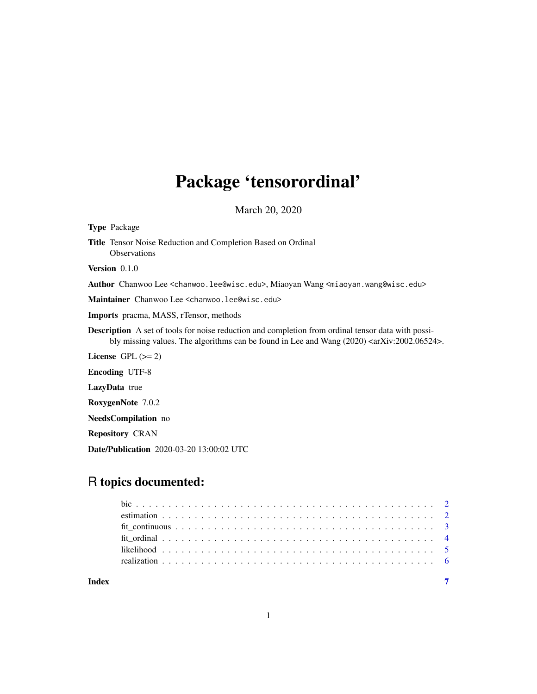## Package 'tensorordinal'

March 20, 2020

Type Package Title Tensor Noise Reduction and Completion Based on Ordinal **Observations** Version 0.1.0 Author Chanwoo Lee <chanwoo.lee@wisc.edu>, Miaoyan Wang <miaoyan.wang@wisc.edu> Maintainer Chanwoo Lee <chanwoo.lee@wisc.edu> Imports pracma, MASS, rTensor, methods Description A set of tools for noise reduction and completion from ordinal tensor data with possibly missing values. The algorithms can be found in Lee and Wang (2020) <arXiv:2002.06524>. License GPL  $(>= 2)$ Encoding UTF-8 LazyData true RoxygenNote 7.0.2 NeedsCompilation no Repository CRAN Date/Publication 2020-03-20 13:00:02 UTC

### R topics documented:

| Index |  |
|-------|--|

1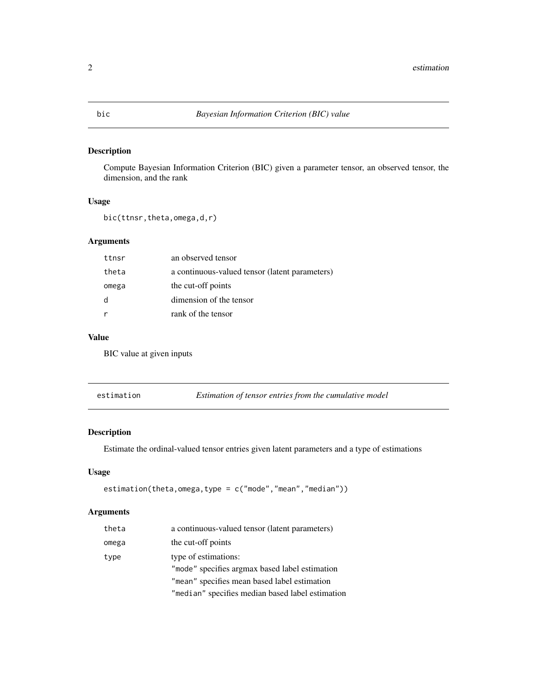#### <span id="page-1-0"></span>Description

Compute Bayesian Information Criterion (BIC) given a parameter tensor, an observed tensor, the dimension, and the rank

#### Usage

```
bic(ttnsr,theta,omega,d,r)
```
#### Arguments

| ttnsr | an observed tensor                             |
|-------|------------------------------------------------|
| theta | a continuous-valued tensor (latent parameters) |
| omega | the cut-off points                             |
| d     | dimension of the tensor                        |
|       | rank of the tensor                             |
|       |                                                |

#### Value

BIC value at given inputs

estimation *Estimation of tensor entries from the cumulative model*

#### Description

Estimate the ordinal-valued tensor entries given latent parameters and a type of estimations

#### Usage

estimation(theta,omega,type = c("mode","mean","median"))

#### Arguments

| a continuous-valued tensor (latent parameters)   |
|--------------------------------------------------|
| the cut-off points                               |
| type of estimations:                             |
| "mode" specifies argmax based label estimation   |
| "mean" specifies mean based label estimation     |
| "median" specifies median based label estimation |
|                                                  |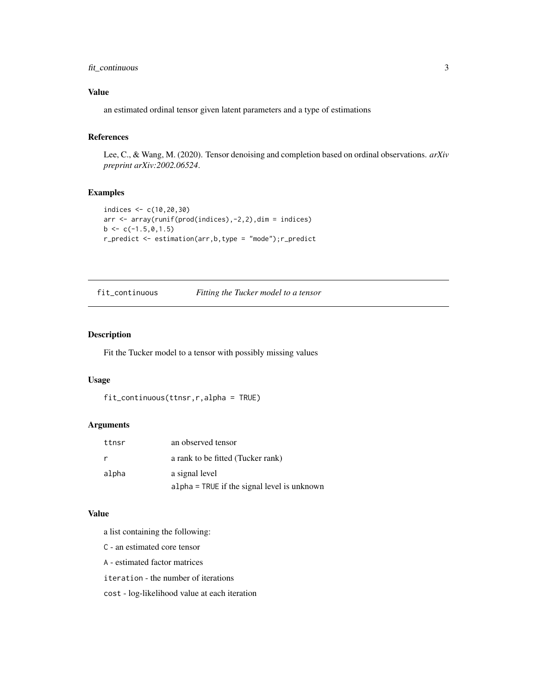#### <span id="page-2-0"></span>fit\_continuous 3

#### Value

an estimated ordinal tensor given latent parameters and a type of estimations

#### References

Lee, C., & Wang, M. (2020). Tensor denoising and completion based on ordinal observations. *arXiv preprint arXiv:2002.06524*.

#### Examples

```
indices <- c(10,20,30)
arr <- array(runif(prod(indices),-2,2),dim = indices)
b \leq c(-1.5, 0, 1.5)r_predict <- estimation(arr,b,type = "mode");r_predict
```
fit\_continuous *Fitting the Tucker model to a tensor*

#### Description

Fit the Tucker model to a tensor with possibly missing values

#### Usage

```
fit_continuous(ttnsr,r,alpha = TRUE)
```
#### Arguments

| ttnsr | an observed tensor                            |
|-------|-----------------------------------------------|
| r     | a rank to be fitted (Tucker rank)             |
| alpha | a signal level                                |
|       | $alpha = TRUE$ if the signal level is unknown |

#### Value

a list containing the following:

- C an estimated core tensor
- A estimated factor matrices
- iteration the number of iterations

cost - log-likelihood value at each iteration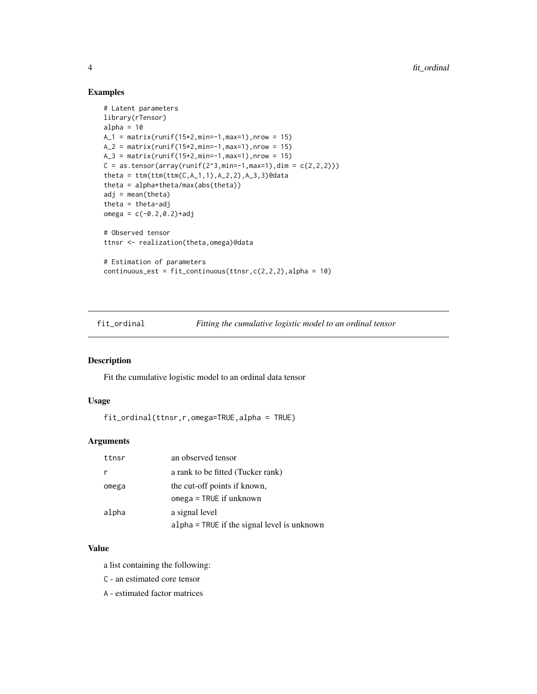#### Examples

```
# Latent parameters
library(rTensor)
alpha = 10A_1 = matrix(runif(15*2,min=-1,max=1),nrow = 15)
A_2 = matrix(runif(15*2,min=-1,max=1),nrow = 15)
A_3 = matrix(runif(15*2,min=-1,max=1),nrow = 15)
C = as.tensor(array(runif(2^3, min=-1, max=1), dim = c(2,2,2)))theta = ttm(ttm(ttm(C,A_1,1),A_2,2),A_3,3)@data
theta = alpha*theta/max(abs(theta))
adj = mean(theta)theta = theta-adj
omega = c(-0.2, 0.2) + adj# Observed tensor
ttnsr <- realization(theta,omega)@data
# Estimation of parameters
continuous_est = fit_{continuous(ttnsr,c(2,2,2),alpha} = 10)
```
fit\_ordinal *Fitting the cumulative logistic model to an ordinal tensor*

#### Description

Fit the cumulative logistic model to an ordinal data tensor

#### Usage

```
fit_ordinal(ttnsr,r,omega=TRUE,alpha = TRUE)
```
#### Arguments

| ttnsr | an observed tensor                                        |
|-------|-----------------------------------------------------------|
| r     | a rank to be fitted (Tucker rank)                         |
| omega | the cut-off points if known,<br>$omega = TRUE$ if unknown |
| alpha | a signal level                                            |
|       | alpha = TRUE if the signal level is unknown               |

#### Value

a list containing the following:

C - an estimated core tensor

A - estimated factor matrices

<span id="page-3-0"></span>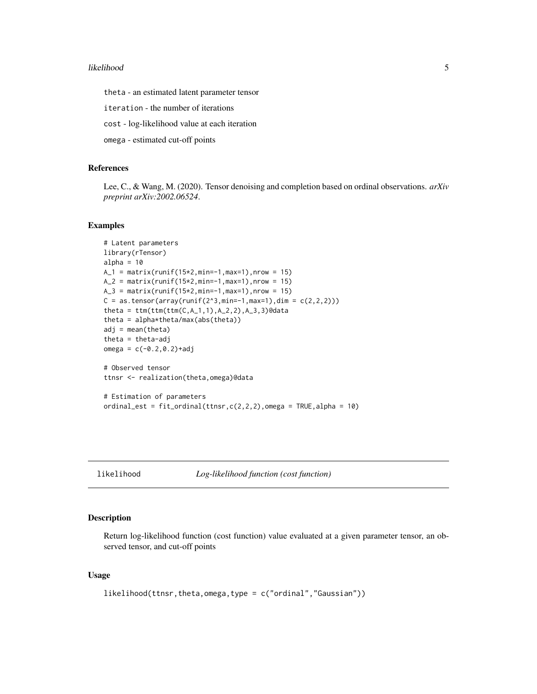#### <span id="page-4-0"></span>likelihood 5

theta - an estimated latent parameter tensor

iteration - the number of iterations

cost - log-likelihood value at each iteration

omega - estimated cut-off points

#### References

Lee, C., & Wang, M. (2020). Tensor denoising and completion based on ordinal observations. *arXiv preprint arXiv:2002.06524*.

#### Examples

```
# Latent parameters
library(rTensor)
alpha = 10A_1 = matrix(runif(15*2,min=-1,max=1),nrow = 15)
A_2 = matrix(runif(15*2,min=-1,max=1),nrow = 15)
A_3 = matrix(runif(15*2,min=-1,max=1),nrow = 15)
C = as.tensor(array(runif(2^3, min=-1, max=1), dim = c(2,2,2)))theta = ttm(ttm(ttm(C,A_1,1),A_2,2),A_3,3)@data
theta = alpha*theta/max(abs(theta))
adj = mean(theta)
theta = theta-adj
omega = c(-0.2, 0.2) + adj# Observed tensor
ttnsr <- realization(theta,omega)@data
# Estimation of parameters
ordinal_est = fit_{\text{1}}ordinal(ttnsr,c(2,2,2),omega = TRUE,alpha = 10)
```
likelihood *Log-likelihood function (cost function)*

#### Description

Return log-likelihood function (cost function) value evaluated at a given parameter tensor, an observed tensor, and cut-off points

#### Usage

```
likelihood(ttnsr,theta,omega,type = c("ordinal","Gaussian"))
```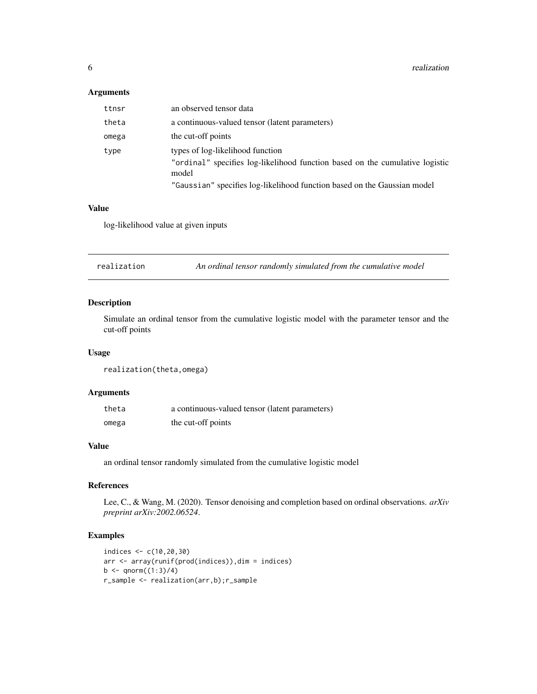#### <span id="page-5-0"></span>Arguments

| ttnsr | an observed tensor data                                                                                                   |
|-------|---------------------------------------------------------------------------------------------------------------------------|
| theta | a continuous-valued tensor (latent parameters)                                                                            |
| omega | the cut-off points                                                                                                        |
| type  | types of log-likelihood function<br>"ordinal" specifies log-likelihood function based on the cumulative logistic<br>model |
|       | "Gaussian" specifies log-likelihood function based on the Gaussian model                                                  |

#### Value

log-likelihood value at given inputs

realization *An ordinal tensor randomly simulated from the cumulative model*

#### Description

Simulate an ordinal tensor from the cumulative logistic model with the parameter tensor and the cut-off points

#### Usage

realization(theta,omega)

#### Arguments

| theta | a continuous-valued tensor (latent parameters) |
|-------|------------------------------------------------|
| omega | the cut-off points                             |

#### Value

an ordinal tensor randomly simulated from the cumulative logistic model

#### References

Lee, C., & Wang, M. (2020). Tensor denoising and completion based on ordinal observations. *arXiv preprint arXiv:2002.06524*.

#### Examples

```
indices <- c(10,20,30)
arr <- array(runif(prod(indices)),dim = indices)
b \le qnorm((1:3)/4)
r_sample <- realization(arr,b);r_sample
```